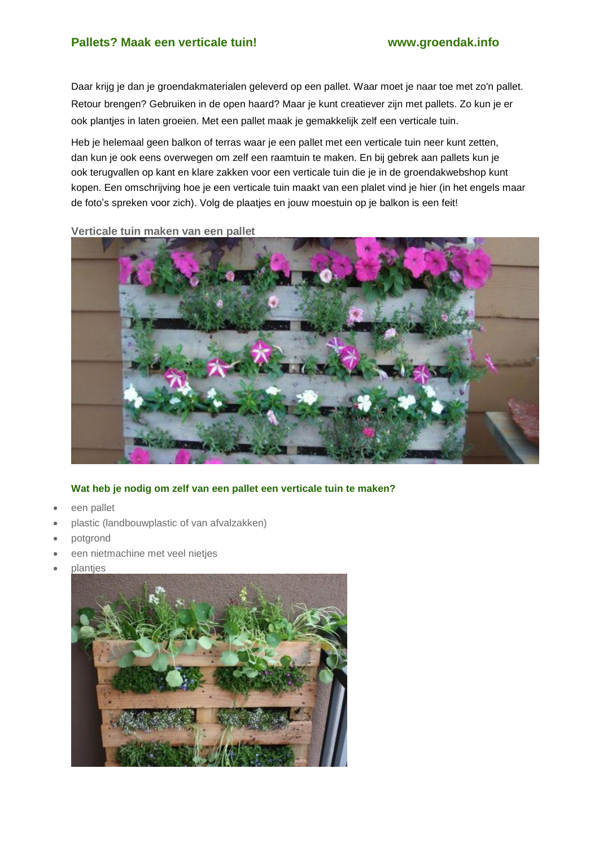Daar krijg je dan je groendakmaterialen geleverd op een pallet. Waar moet je naar toe met zo'n pallet. Retour brengen? Gebruiken in de open haard? Maar je kunt creatiever zijn met pallets. Zo kun je er ook plantjes in laten groeien. Met een pallet maak je gemakkelijk zelf een verticale tuin.

Heb je helemaal geen balkon of terras waar je een pallet met een verticale tuin neer kunt zetten, dan kun je ook eens overwegen om zelf een raamtuin te maken. En bij gebrek aan pallets kun je ook terugvallen op kant en klare zakken voor een verticale tuin die je in de groendakwebshop kunt kopen. Een omschrijving hoe je een verticale tuin maakt van een plalet vind je hier (in het engels maar de foto's spreken voor zich). Volg de plaatjes en jouw moestuin op je balkon is een feit!

**Verticale tuin maken van een pallet**



## **Wat heb je nodig om zelf van een pallet een verticale tuin te maken?**

- een pallet
- plastic (landbouwplastic of van afvalzakken)
- potgrond
- een nietmachine met veel nietjes
- plantjes

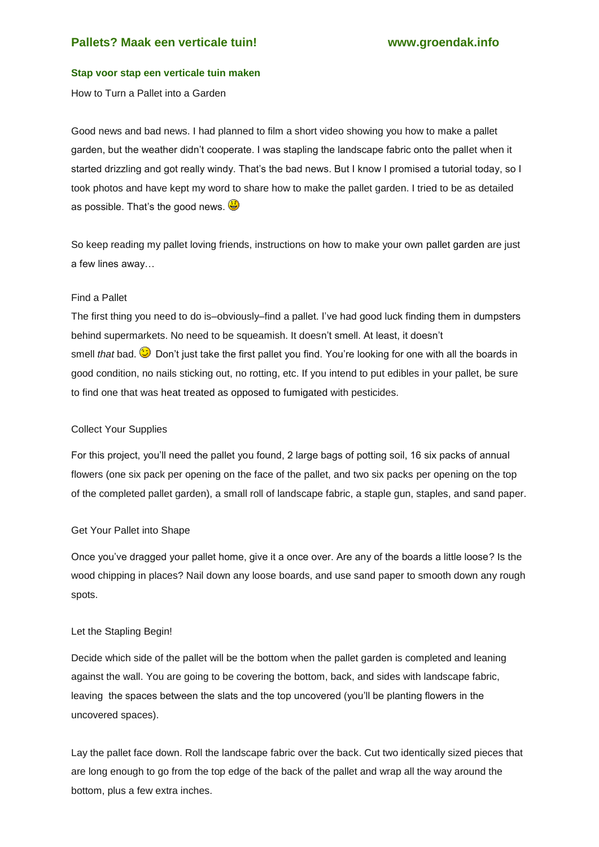## **Stap voor stap een verticale tuin maken**

How to Turn a Pallet into a Garden

Good news and bad news. I had planned to film a short video showing you how to make a pallet garden, but the weather didn't cooperate. I was stapling the landscape fabric onto the pallet when it started drizzling and got really windy. That's the bad news. But I know I promised a tutorial today, so I took photos and have kept my word to share how to make the pallet garden. I tried to be as detailed as possible. That's the good news.  $\ddot{\bullet}$ 

So keep reading my pallet loving friends, instructions on how to make your own pallet garden are just a few lines away…

### Find a Pallet

The first thing you need to do is–obviously–find a pallet. I've had good luck finding them in dumpsters behind supermarkets. No need to be squeamish. It doesn't smell. At least, it doesn't smell *that* bad. Don't just take the first pallet you find. You're looking for one with all the boards in good condition, no nails sticking out, no rotting, etc. If you intend to put edibles in your pallet, be sure to find one that was heat treated as opposed to fumigated with pesticides.

### Collect Your Supplies

For this project, you'll need the pallet you found, 2 large bags of potting soil, 16 six packs of annual flowers (one six pack per opening on the face of the pallet, and two six packs per opening on the top of the completed pallet garden), a small roll of landscape fabric, a staple gun, staples, and sand paper.

#### Get Your Pallet into Shape

Once you've dragged your pallet home, give it a once over. Are any of the boards a little loose? Is the wood chipping in places? Nail down any loose boards, and use sand paper to smooth down any rough spots.

#### Let the Stapling Begin!

Decide which side of the pallet will be the bottom when the pallet garden is completed and leaning against the wall. You are going to be covering the bottom, back, and sides with landscape fabric, leaving the spaces between the slats and the top uncovered (you'll be planting flowers in the uncovered spaces).

Lay the pallet face down. Roll the landscape fabric over the back. Cut two identically sized pieces that are long enough to go from the top edge of the back of the pallet and wrap all the way around the bottom, plus a few extra inches.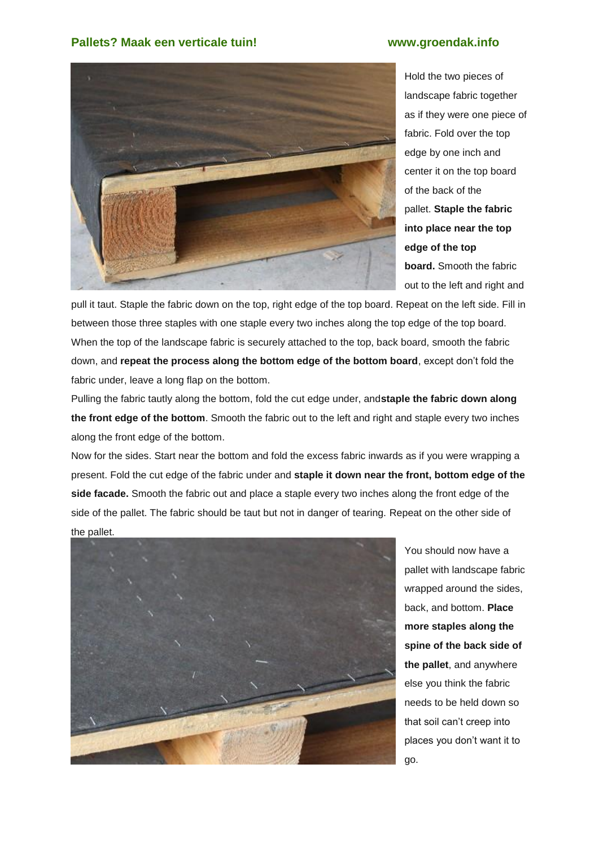

Hold the two pieces of landscape fabric together as if they were one piece of fabric. Fold over the top edge by one inch and center it on the top board of the back of the pallet. **Staple the fabric into place near the top edge of the top board.** Smooth the fabric out to the left and right and

pull it taut. Staple the fabric down on the top, right edge of the top board. Repeat on the left side. Fill in between those three staples with one staple every two inches along the top edge of the top board. When the top of the landscape fabric is securely attached to the top, back board, smooth the fabric down, and **repeat the process along the bottom edge of the bottom board**, except don't fold the fabric under, leave a long flap on the bottom.

Pulling the fabric tautly along the bottom, fold the cut edge under, and**staple the fabric down along the front edge of the bottom**. Smooth the fabric out to the left and right and staple every two inches along the front edge of the bottom.

Now for the sides. Start near the bottom and fold the excess fabric inwards as if you were wrapping a present. Fold the cut edge of the fabric under and **staple it down near the front, bottom edge of the side facade.** Smooth the fabric out and place a staple every two inches along the front edge of the side of the pallet. The fabric should be taut but not in danger of tearing. Repeat on the other side of the pallet.



You should now have a pallet with landscape fabric wrapped around the sides, back, and bottom. **Place more staples along the spine of the back side of the pallet**, and anywhere else you think the fabric needs to be held down so that soil can't creep into places you don't want it to go.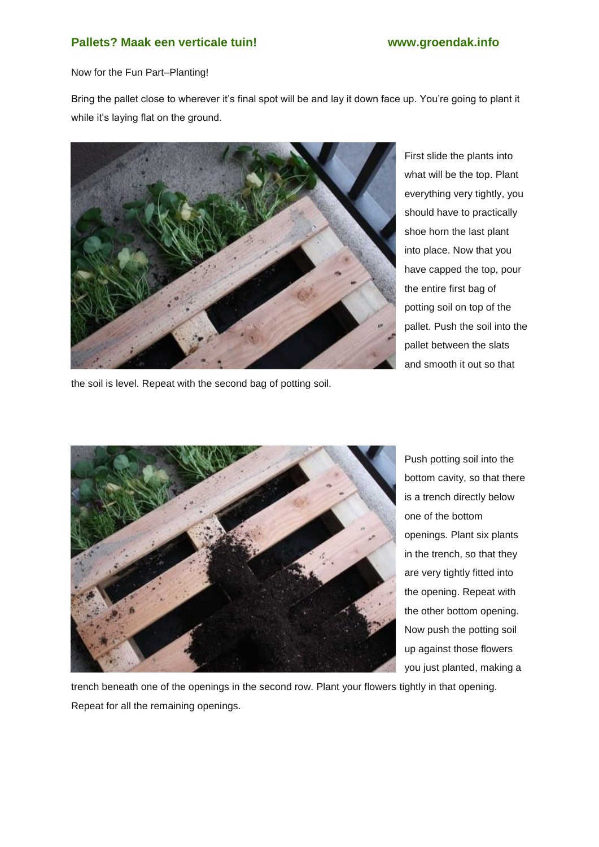Now for the Fun Part–Planting!

Bring the pallet close to wherever it's final spot will be and lay it down face up. You're going to plant it while it's laying flat on the ground.



the soil is level. Repeat with the second bag of potting soil.

First slide the plants into what will be the top. Plant everything very tightly, you should have to practically shoe horn the last plant into place. Now that you have capped the top, pour the entire first bag of potting soil on top of the pallet. Push the soil into the pallet between the slats and smooth it out so that



Push potting soil into the bottom cavity, so that there is a trench directly below one of the bottom openings. Plant six plants in the trench, so that they are very tightly fitted into the opening. Repeat with the other bottom opening. Now push the potting soil up against those flowers you just planted, making a

trench beneath one of the openings in the second row. Plant your flowers tightly in that opening. Repeat for all the remaining openings.